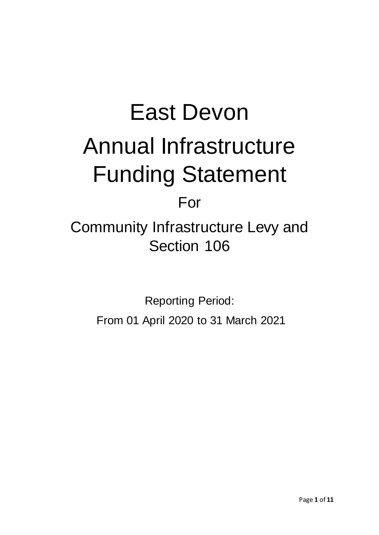# East Devon Annual Infrastructure Funding Statement

# For

Community Infrastructure Levy and Section 106

> Reporting Period: From 01 April 2020 to 31 March 2021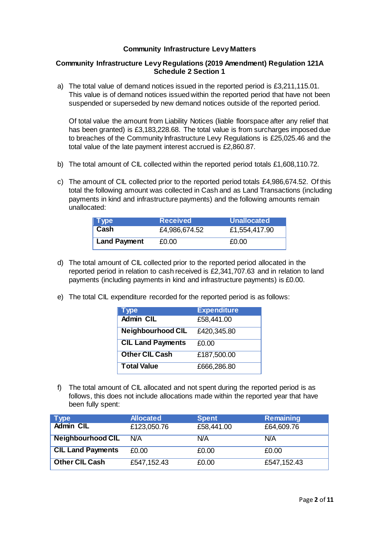### **Community Infrastructure Levy Matters**

### **Community Infrastructure Levy Regulations (2019 Amendment) Regulation 121A Schedule 2 Section 1**

a) The total value of demand notices issued in the reported period is £3,211,115.01. This value is of demand notices issued within the reported period that have not been suspended or superseded by new demand notices outside of the reported period.

Of total value the amount from Liability Notices (liable floorspace after any relief that has been granted) is £3,183,228.68. The total value is from surcharges imposed due to breaches of the Community Infrastructure Levy Regulations is £25,025.46 and the total value of the late payment interest accrued is £2,860.87.

- b) The total amount of CIL collected within the reported period totals £1,608,110.72.
- c) The amount of CIL collected prior to the reported period totals £4,986,674.52. Of this total the following amount was collected in Cash and as Land Transactions (including payments in kind and infrastructure payments) and the following amounts remain unallocated:

| $\vert$ Type        | <b>Received</b> | <b>Unallocated</b> |
|---------------------|-----------------|--------------------|
| ˈ Cash              | £4,986,674.52   | £1,554,417.90      |
| <b>Land Payment</b> | £0.00           | £0.00              |

- d) The total amount of CIL collected prior to the reported period allocated in the reported period in relation to cash received is £2,341,707.63 and in relation to land payments (including payments in kind and infrastructure payments) is £0.00.
- e) The total CIL expenditure recorded for the reported period is as follows:

| <b>Type</b>              | <b>Expenditure</b> |
|--------------------------|--------------------|
| <b>Admin CIL</b>         | £58,441.00         |
| <b>Neighbourhood CIL</b> | £420,345.80        |
| <b>CIL Land Payments</b> | £0.00              |
| <b>Other CIL Cash</b>    | £187,500.00        |
| <b>Total Value</b>       | £666,286.80        |

f) The total amount of CIL allocated and not spent during the reported period is as follows, this does not include allocations made within the reported year that have been fully spent:

| <b>Type</b>              | <b>Allocated</b> | <b>Spent</b> | <b>Remaining</b> |
|--------------------------|------------------|--------------|------------------|
| <b>Admin CIL</b>         | £123,050.76      | £58,441.00   | £64,609.76       |
| <b>Neighbourhood CIL</b> | N/A              | N/A          | N/A              |
| <b>CIL Land Payments</b> | £0.00            | £0.00        | £0.00            |
| <b>Other CIL Cash</b>    | £547,152.43      | £0.00        | £547,152.43      |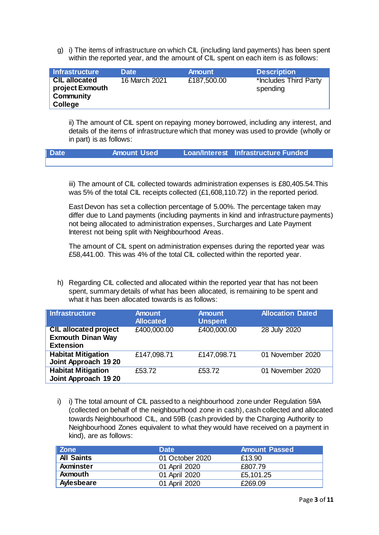g) i) The items of infrastructure on which CIL (including land payments) has been spent within the reported year, and the amount of CIL spent on each item is as follows:

| <b>Infrastructure</b>                                                  | <b>Date</b>   | <b>Amount</b> | <b>Description</b>                |
|------------------------------------------------------------------------|---------------|---------------|-----------------------------------|
| <b>CIL allocated</b><br>project Exmouth<br>Community<br><b>College</b> | 16 March 2021 | £187,500.00   | *Includes Third Party<br>spending |

ii) The amount of CIL spent on repaying money borrowed, including any interest, and details of the items of infrastructure which that money was used to provide (wholly or in part) is as follows:

| <b>Date</b> | Amount Used | Loan/Interest Infrastructure Funded |  |
|-------------|-------------|-------------------------------------|--|
|             |             |                                     |  |

iii) The amount of CIL collected towards administration expenses is £80,405.54.This was 5% of the total CIL receipts collected (£1,608,110.72) in the reported period.

East Devon has set a collection percentage of 5.00%. The percentage taken may differ due to Land payments (including payments in kind and infrastructure payments) not being allocated to administration expenses, Surcharges and Late Payment Interest not being split with Neighbourhood Areas.

The amount of CIL spent on administration expenses during the reported year was £58,441.00. This was 4% of the total CIL collected within the reported year.

h) Regarding CIL collected and allocated within the reported year that has not been spent, summary details of what has been allocated, is remaining to be spent and what it has been allocated towards is as follows:

| <b>Infrastructure</b>                                                        | <b>Amount</b><br><b>Allocated</b> | <b>Amount</b><br><b>Unspent</b> | <b>Allocation Dated</b> |
|------------------------------------------------------------------------------|-----------------------------------|---------------------------------|-------------------------|
| <b>CIL allocated project</b><br><b>Exmouth Dinan Way</b><br><b>Extension</b> | £400,000.00                       | £400,000.00                     | 28 July 2020            |
| <b>Habitat Mitigation</b><br>Joint Approach 19 20                            | £147,098.71                       | £147,098.71                     | 01 November 2020        |
| <b>Habitat Mitigation</b><br>Joint Approach 19 20                            | £53.72                            | £53.72                          | 01 November 2020        |

i) i) The total amount of CIL passed to a neighbourhood zone under Regulation 59A (collected on behalf of the neighbourhood zone in cash), cash collected and allocated towards Neighbourhood CIL, and 59B (cash provided by the Charging Authority to Neighbourhood Zones equivalent to what they would have received on a payment in kind), are as follows:

| <b>Zone</b>       | <b>Date</b>     | <b>Amount Passed</b> |
|-------------------|-----------------|----------------------|
| <b>All Saints</b> | 01 October 2020 | £13.90               |
| <b>Axminster</b>  | 01 April 2020   | £807.79              |
| <b>Axmouth</b>    | 01 April 2020   | £5,101.25            |
| Aylesbeare        | 01 April 2020   | £269.09              |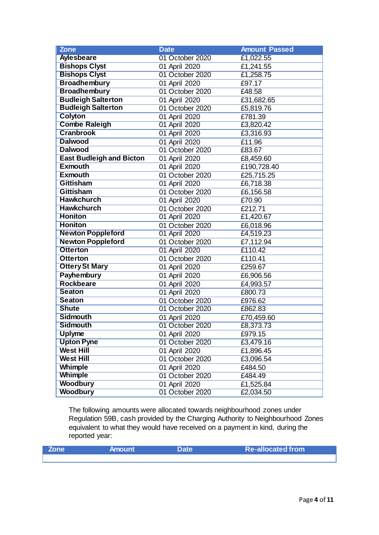| <b>Zone</b>                     | <b>Date</b>     | <b>Amount Passed</b>   |
|---------------------------------|-----------------|------------------------|
| <b>Aylesbeare</b>               | 01 October 2020 | $\overline{£1,022.55}$ |
| <b>Bishops Clyst</b>            | 01 April 2020   | £1,241.55              |
| <b>Bishops Clyst</b>            | 01 October 2020 | £1,258.75              |
| <b>Broadhembury</b>             | 01 April 2020   | £97.17                 |
| <b>Broadhembury</b>             | 01 October 2020 | £48.58                 |
| <b>Budleigh Salterton</b>       | 01 April 2020   | £31,682.65             |
| <b>Budleigh Salterton</b>       | 01 October 2020 | £5,819.76              |
| <b>Colyton</b>                  | 01 April 2020   | £781.39                |
| <b>Combe Raleigh</b>            | 01 April 2020   | £3,820.42              |
| <b>Cranbrook</b>                | 01 April 2020   | £3,316.93              |
| <b>Dalwood</b>                  | 01 April 2020   | £11.96                 |
| <b>Dalwood</b>                  | 01 October 2020 | £83.67                 |
| <b>East Budleigh and Bicton</b> | 01 April 2020   | £8,459.60              |
| <b>Exmouth</b>                  | 01 April 2020   | £190,728.40            |
| <b>Exmouth</b>                  | 01 October 2020 | £25,715.25             |
| <b>Gittisham</b>                | 01 April 2020   | £6,718.38              |
| <b>Gittisham</b>                | 01 October 2020 | £6,156.58              |
| <b>Hawkchurch</b>               | 01 April 2020   | £70.90                 |
| <b>Hawkchurch</b>               | 01 October 2020 | £212.71                |
| <b>Honiton</b>                  | 01 April 2020   | £1,420.67              |
| <b>Honiton</b>                  | 01 October 2020 | £6,018.96              |
| <b>Newton Poppleford</b>        | 01 April 2020   | £4,519.23              |
| <b>Newton Poppleford</b>        | 01 October 2020 | £7,112.94              |
| <b>Otterton</b>                 | 01 April 2020   | £110.42                |
| <b>Otterton</b>                 | 01 October 2020 | £110.41                |
| <b>Ottery St Mary</b>           | 01 April 2020   | £259.67                |
| <b>Payhembury</b>               | 01 April 2020   | £6,906.56              |
| <b>Rockbeare</b>                | 01 April 2020   | £4,993.57              |
| <b>Seaton</b>                   | 01 April 2020   | £800.73                |
| <b>Seaton</b>                   | 01 October 2020 | £976.62                |
| <b>Shute</b>                    | 01 October 2020 | £862.83                |
| <b>Sidmouth</b>                 | 01 April 2020   | £70,459.60             |
| <b>Sidmouth</b>                 | 01 October 2020 | £8,373.73              |
| <b>Uplyme</b>                   | 01 April 2020   | £979.15                |
| <b>Upton Pyne</b>               | 01 October 2020 | £3,479.16              |
| <b>West Hill</b>                | 01 April 2020   | £1,896.45              |
| <b>West Hill</b>                | 01 October 2020 | £3,096.54              |
| <b>Whimple</b>                  | 01 April 2020   | £484.50                |
| <b>Whimple</b>                  | 01 October 2020 | £484.49                |
| <b>Woodbury</b>                 | 01 April 2020   | £1,525.84              |
| <b>Woodbury</b>                 | 01 October 2020 | £2,034.50              |

The following amounts were allocated towards neighbourhood zones under Regulation 59B, cash provided by the Charging Authority to Neighbourhood Zones equivalent to what they would have received on a payment in kind, during the reported year:

| Zone <b>b</b> | <b>Amount</b> | <b>Date</b> | <b>Re-allocated from</b> |  |
|---------------|---------------|-------------|--------------------------|--|
|               |               |             |                          |  |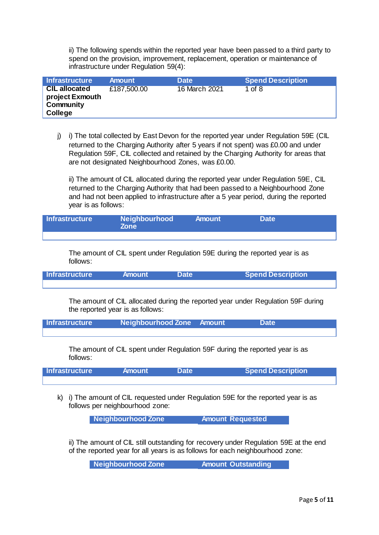ii) The following spends within the reported year have been passed to a third party to spend on the provision, improvement, replacement, operation or maintenance of infrastructure under Regulation 59(4):

| Infrastructure                                                  | <b>Amount</b> | <b>Date</b>   | <b>Spend Description</b> |
|-----------------------------------------------------------------|---------------|---------------|--------------------------|
| <b>CIL allocated</b><br>project Exmouth<br>Community<br>College | £187,500.00   | 16 March 2021 | 1 of $8$                 |

j) i) The total collected by East Devon for the reported year under Regulation 59E (CIL returned to the Charging Authority after 5 years if not spent) was £0.00 and under Regulation 59F, CIL collected and retained by the Charging Authority for areas that are not designated Neighbourhood Zones, was £0.00.

ii) The amount of CIL allocated during the reported year under Regulation 59E, CIL returned to the Charging Authority that had been passed to a Neighbourhood Zone and had not been applied to infrastructure after a 5 year period, during the reported year is as follows:

| <b>Infrastructure</b> | Neighbourhood<br><b>Zone</b> | <b>Amount</b> | <b>Date</b> |  |
|-----------------------|------------------------------|---------------|-------------|--|
|                       |                              |               |             |  |

The amount of CIL spent under Regulation 59E during the reported year is as follows:

**Infrastructure Amount Date Spend Description**

The amount of CIL allocated during the reported year under Regulation 59F during the reported year is as follows:

| <b>Infrastructure</b> | Neighbourhood Zone Amount | <b>Date</b> |  |
|-----------------------|---------------------------|-------------|--|
|                       |                           |             |  |

The amount of CIL spent under Regulation 59F during the reported year is as follows:

| Infrastructure | <b>Amount</b> | <b>Date</b> | <b>Spend Description</b> |
|----------------|---------------|-------------|--------------------------|
|                |               |             |                          |

k) i) The amount of CIL requested under Regulation 59E for the reported year is as follows per neighbourhood zone:

**Neighbourhood Zone Amount Requested**

ii) The amount of CIL still outstanding for recovery under Regulation 59E at the end of the reported year for all years is as follows for each neighbourhood zone:

**Neighbourhood Zone Amount Outstanding**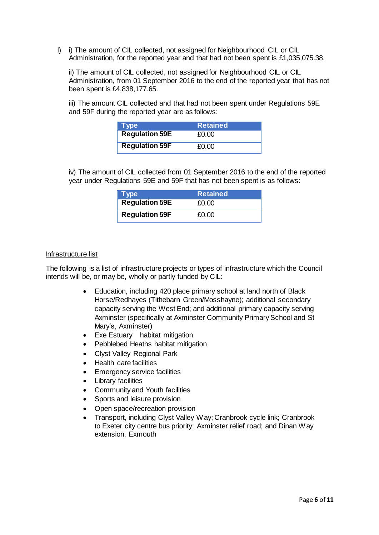l) i) The amount of CIL collected, not assigned for Neighbourhood CIL or CIL Administration, for the reported year and that had not been spent is £1,035,075.38.

ii) The amount of CIL collected, not assigned for Neighbourhood CIL or CIL Administration, from 01 September 2016 to the end of the reported year that has not been spent is £4,838,177.65.

iii) The amount CIL collected and that had not been spent under Regulations 59E and 59F during the reported year are as follows:

| $\blacksquare$ Type   | <b>Retained</b> |
|-----------------------|-----------------|
| <b>Regulation 59E</b> | £0.00           |
| <b>Regulation 59F</b> | £0.00           |

iv) The amount of CIL collected from 01 September 2016 to the end of the reported year under Regulations 59E and 59F that has not been spent is as follows:

| $\blacksquare$ Type   | <b>Retained</b> |
|-----------------------|-----------------|
| <b>Regulation 59E</b> | £0.00           |
| <b>Regulation 59F</b> | £0.00           |

#### Infrastructure list

The following is a list of infrastructure projects or types of infrastructure which the Council intends will be, or may be, wholly or partly funded by CIL:

- Education, including 420 place primary school at land north of Black Horse/Redhayes (Tithebarn Green/Mosshayne); additional secondary capacity serving the West End; and additional primary capacity serving Axminster (specifically at Axminster Community Primary School and St Mary's, Axminster)
- Exe Estuary habitat mitigation
- Pebblebed Heaths habitat mitigation
- Clyst Valley Regional Park
- Health care facilities
- Emergency service facilities
- Library facilities
- Community and Youth facilities
- Sports and leisure provision
- Open space/recreation provision
- Transport, including Clyst Valley Way; Cranbrook cycle link; Cranbrook to Exeter city centre bus priority; Axminster relief road; and Dinan Way extension, Exmouth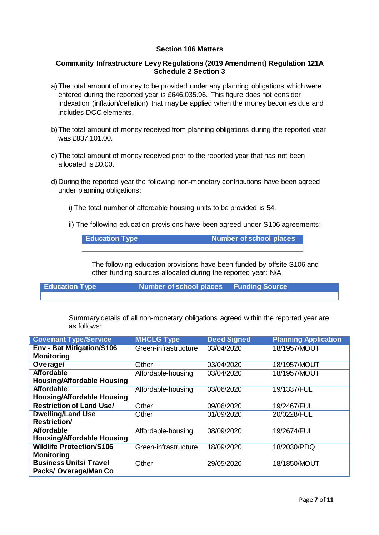# **Section 106 Matters**

#### **Community Infrastructure Levy Regulations (2019 Amendment) Regulation 121A Schedule 2 Section 3**

- a)The total amount of money to be provided under any planning obligations which were entered during the reported year is £646,035.96. This figure does not consider indexation (inflation/deflation) that may be applied when the money becomes due and includes DCC elements.
- b)The total amount of money received from planning obligations during the reported year was £837,101.00.
- c)The total amount of money received prior to the reported year that has not been allocated is £0.00.
- d)During the reported year the following non-monetary contributions have been agreed under planning obligations:
	- i) The total number of affordable housing units to be provided is 54.
	- ii) The following education provisions have been agreed under S106 agreements:

**Education Type Number of school places** 

The following education provisions have been funded by offsite S106 and other funding sources allocated during the reported year: N/A

**Education Type Number of school places Funding Source**

Summary details of all non-monetary obligations agreed within the reported year are as follows:

| <b>Covenant Type/Service</b>                                 | <b>MHCLG Type</b>    | <b>Deed Signed</b> | <b>Planning Application</b> |
|--------------------------------------------------------------|----------------------|--------------------|-----------------------------|
| <b>Env - Bat Mitigation/S106</b><br><b>Monitoring</b>        | Green-infrastructure | 03/04/2020         | 18/1957/MOUT                |
| Overage/                                                     | Other                | 03/04/2020         | 18/1957/MOUT                |
| <b>Affordable</b>                                            | Affordable-housing   | 03/04/2020         | 18/1957/MOUT                |
| <b>Housing/Affordable Housing</b>                            |                      |                    |                             |
| <b>Affordable</b>                                            | Affordable-housing   | 03/06/2020         | 19/1337/FUL                 |
| <b>Housing/Affordable Housing</b>                            |                      |                    |                             |
| <b>Restriction of Land Use/</b>                              | Other                | 09/06/2020         | 19/2467/FUL                 |
| <b>Dwelling/Land Use</b>                                     | Other                | 01/09/2020         | 20/0228/FUL                 |
| <b>Restriction/</b>                                          |                      |                    |                             |
| <b>Affordable</b><br><b>Housing/Affordable Housing</b>       | Affordable-housing   | 08/09/2020         | 19/2674/FUL                 |
| <b>Wildlife Protection/S106</b><br><b>Monitoring</b>         | Green-infrastructure | 18/09/2020         | 18/2030/PDQ                 |
| <b>Business Units/ Travel</b><br><b>Packs/Overage/Man Co</b> | Other                | 29/05/2020         | 18/1850/MOUT                |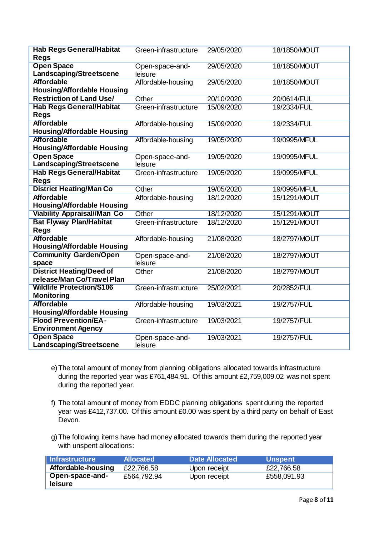| <b>Hab Regs General/Habitat</b><br><b>Regs</b>                | Green-infrastructure       | 29/05/2020 | 18/1850/MOUT |
|---------------------------------------------------------------|----------------------------|------------|--------------|
| <b>Open Space</b><br>Landscaping/Streetscene                  | Open-space-and-<br>leisure | 29/05/2020 | 18/1850/MOUT |
| <b>Affordable</b><br><b>Housing/Affordable Housing</b>        | Affordable-housing         | 29/05/2020 | 18/1850/MOUT |
| <b>Restriction of Land Use/</b>                               | Other                      | 20/10/2020 | 20/0614/FUL  |
| <b>Hab Regs General/Habitat</b><br><b>Regs</b>                | Green-infrastructure       | 15/09/2020 | 19/2334/FUL  |
| <b>Affordable</b><br><b>Housing/Affordable Housing</b>        | Affordable-housing         | 15/09/2020 | 19/2334/FUL  |
| <b>Affordable</b><br><b>Housing/Affordable Housing</b>        | Affordable-housing         | 19/05/2020 | 19/0995/MFUL |
| <b>Open Space</b><br>Landscaping/Streetscene                  | Open-space-and-<br>leisure | 19/05/2020 | 19/0995/MFUL |
| <b>Hab Regs General/Habitat</b><br><b>Regs</b>                | Green-infrastructure       | 19/05/2020 | 19/0995/MFUL |
| <b>District Heating/Man Co</b>                                | Other                      | 19/05/2020 | 19/0995/MFUL |
| <b>Affordable</b><br><b>Housing/Affordable Housing</b>        | Affordable-housing         | 18/12/2020 | 15/1291/MOUT |
| <b>Viability Appraisal//Man Co</b>                            | Other                      | 18/12/2020 | 15/1291/MOUT |
| <b>Bat Flyway Plan/Habitat</b><br><b>Regs</b>                 | Green-infrastructure       | 18/12/2020 | 15/1291/MOUT |
| <b>Affordable</b><br><b>Housing/Affordable Housing</b>        | Affordable-housing         | 21/08/2020 | 18/2797/MOUT |
| <b>Community Garden/Open</b><br>space                         | Open-space-and-<br>leisure | 21/08/2020 | 18/2797/MOUT |
| <b>District Heating/Deed of</b><br>release/Man Co/Travel Plan | Other                      | 21/08/2020 | 18/2797/MOUT |
| <b>Wildlife Protection/S106</b><br><b>Monitoring</b>          | Green-infrastructure       | 25/02/2021 | 20/2852/FUL  |
| <b>Affordable</b><br><b>Housing/Affordable Housing</b>        | Affordable-housing         | 19/03/2021 | 19/2757/FUL  |
| <b>Flood Prevention/EA-</b><br><b>Environment Agency</b>      | Green-infrastructure       | 19/03/2021 | 19/2757/FUL  |
| <b>Open Space</b><br>Landscaping/Streetscene                  | Open-space-and-<br>leisure | 19/03/2021 | 19/2757/FUL  |

- e)The total amount of money from planning obligations allocated towards infrastructure during the reported year was £761,484.91. Of this amount £2,759,009.02 was not spent during the reported year.
- f) The total amount of money from EDDC planning obligations spent during the reported year was £412,737.00. Of this amount £0.00 was spent by a third party on behalf of East Devon.
- g)The following items have had money allocated towards them during the reported year with unspent allocations:

| <b>Infrastructure</b> | <b>Allocated</b> | <b>Date Allocated</b> | <b>Unspent</b> |
|-----------------------|------------------|-----------------------|----------------|
| Affordable-housing    | £22,766.58       | Upon receipt          | £22,766.58     |
| Open-space-and-       | £564,792.94      | Upon receipt          | £558,091.93    |
| <b>leisure</b>        |                  |                       |                |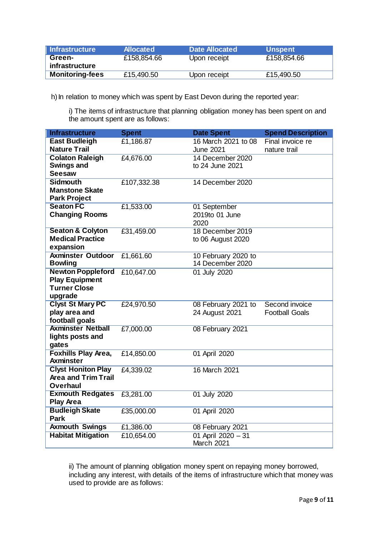| ∣ Infrastructure       | <b>Allocated</b> | Date Allocated | <b>Unspent</b> |
|------------------------|------------------|----------------|----------------|
| Green-                 | £158,854.66      | Upon receipt   | £158,854.66    |
| infrastructure         |                  |                |                |
| <b>Monitoring-fees</b> | £15,490.50       | Upon receipt   | £15,490.50     |

h) In relation to money which was spent by East Devon during the reported year:

i) The items of infrastructure that planning obligation money has been spent on and the amount spent are as follows:

| <b>Infrastructure</b>                                                               | <b>Spent</b> | <b>Date Spent</b>                       | <b>Spend Description</b>                |
|-------------------------------------------------------------------------------------|--------------|-----------------------------------------|-----------------------------------------|
| <b>East Budleigh</b>                                                                | £1,186.87    | 16 March 2021 to 08                     | Final invoice re                        |
| <b>Nature Trail</b>                                                                 |              | <b>June 2021</b>                        | nature trail                            |
| <b>Colaton Raleigh</b><br><b>Swings and</b><br><b>Seesaw</b>                        | £4,676.00    | 14 December 2020<br>to 24 June 2021     |                                         |
| <b>Sidmouth</b><br><b>Manstone Skate</b><br><b>Park Project</b>                     | £107,332.38  | 14 December 2020                        |                                         |
| <b>Seaton FC</b><br><b>Changing Rooms</b>                                           | £1,533.00    | 01 September<br>2019to 01 June<br>2020  |                                         |
| <b>Seaton &amp; Colyton</b><br><b>Medical Practice</b><br>expansion                 | £31,459.00   | 18 December 2019<br>to 06 August 2020   |                                         |
| <b>Axminster Outdoor</b><br><b>Bowling</b>                                          | £1,661.60    | 10 February 2020 to<br>14 December 2020 |                                         |
| <b>Newton Poppleford</b><br><b>Play Equipment</b><br><b>Turner Close</b><br>upgrade | £10,647.00   | 01 July 2020                            |                                         |
| <b>Clyst St Mary PC</b><br>play area and<br>football goals                          | £24,970.50   | 08 February 2021 to<br>24 August 2021   | Second invoice<br><b>Football Goals</b> |
| <b>Axminster Netball</b><br>lights posts and<br>gates                               | £7,000.00    | 08 February 2021                        |                                         |
| <b>Foxhills Play Area,</b><br><b>Axminster</b>                                      | £14,850.00   | 01 April 2020                           |                                         |
| <b>Clyst Honiton Play</b><br><b>Area and Trim Trail</b><br><b>Overhaul</b>          | £4,339.02    | 16 March 2021                           |                                         |
| <b>Exmouth Redgates</b><br><b>Play Area</b>                                         | £3,281.00    | 01 July 2020                            |                                         |
| <b>Budleigh Skate</b><br>Park                                                       | £35,000.00   | 01 April 2020                           |                                         |
| <b>Axmouth Swings</b>                                                               | £1,386.00    | 08 February 2021                        |                                         |
| <b>Habitat Mitigation</b>                                                           | £10,654.00   | 01 April 2020 - 31<br><b>March 2021</b> |                                         |

ii) The amount of planning obligation money spent on repaying money borrowed, including any interest, with details of the items of infrastructure which that money was used to provide are as follows: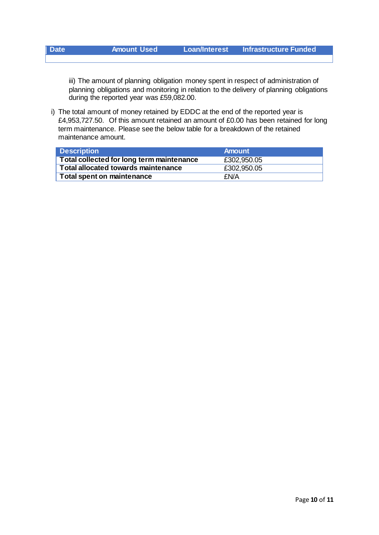| <b>Date</b> | <b>Amount Used</b> | ⊾Loan/Interest <sup>।</sup> | <b>Infrastructure Funded</b> |
|-------------|--------------------|-----------------------------|------------------------------|
|             |                    |                             |                              |

iii) The amount of planning obligation money spent in respect of administration of planning obligations and monitoring in relation to the delivery of planning obligations during the reported year was £59,082.00.

i) The total amount of money retained by EDDC at the end of the reported year is £4,953,727.50. Of this amount retained an amount of £0.00 has been retained for long term maintenance. Please see the below table for a breakdown of the retained maintenance amount.

| <b>Description</b>                               | <b>Amount</b> |
|--------------------------------------------------|---------------|
| <b>Total collected for long term maintenance</b> | £302,950.05   |
| <b>Total allocated towards maintenance</b>       | £302,950.05   |
| <b>Total spent on maintenance</b>                | <b>FN/A</b>   |